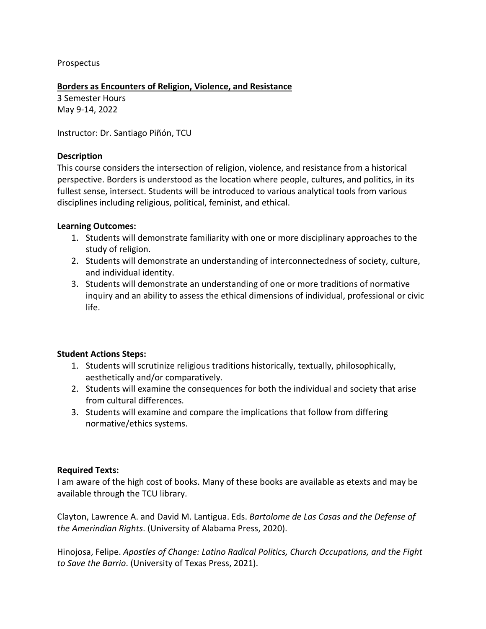Prospectus

#### **Borders as Encounters of Religion, Violence, and Resistance**

3 Semester Hours May 9-14, 2022

Instructor: Dr. Santiago Piñón, TCU

### **Description**

This course considers the intersection of religion, violence, and resistance from a historical perspective. Borders is understood as the location where people, cultures, and politics, in its fullest sense, intersect. Students will be introduced to various analytical tools from various disciplines including religious, political, feminist, and ethical.

#### **Learning Outcomes:**

- 1. Students will demonstrate familiarity with one or more disciplinary approaches to the study of religion.
- 2. Students will demonstrate an understanding of interconnectedness of society, culture, and individual identity.
- 3. Students will demonstrate an understanding of one or more traditions of normative inquiry and an ability to assess the ethical dimensions of individual, professional or civic life.

# **Student Actions Steps:**

- 1. Students will scrutinize religious traditions historically, textually, philosophically, aesthetically and/or comparatively.
- 2. Students will examine the consequences for both the individual and society that arise from cultural differences.
- 3. Students will examine and compare the implications that follow from differing normative/ethics systems.

# **Required Texts:**

I am aware of the high cost of books. Many of these books are available as etexts and may be available through the TCU library.

Clayton, Lawrence A. and David M. Lantigua. Eds. *Bartolome de Las Casas and the Defense of the Amerindian Rights*. (University of Alabama Press, 2020).

Hinojosa, Felipe. *Apostles of Change: Latino Radical Politics, Church Occupations, and the Fight to Save the Barrio*. (University of Texas Press, 2021).